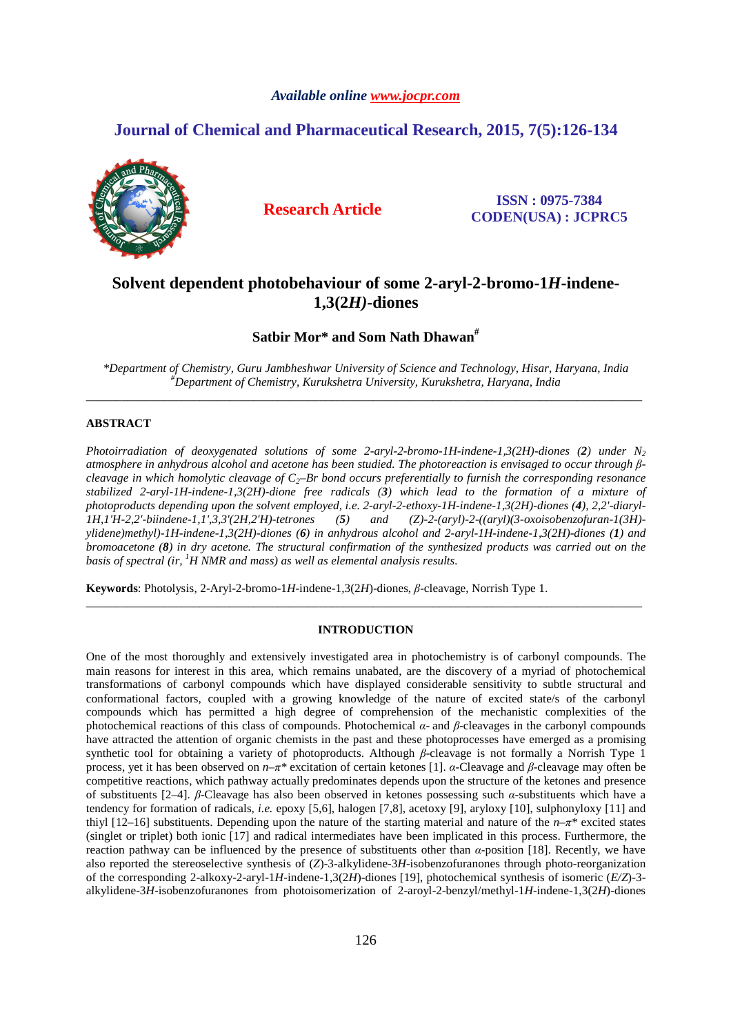## *Available online www.jocpr.com*

# **Journal of Chemical and Pharmaceutical Research, 2015, 7(5):126-134**



**Research Article ISSN : 0975-7384 CODEN(USA) : JCPRC5**

# **Solvent dependent photobehaviour of some 2-aryl-2-bromo-1***H***-indene-1,3(2***H)***-diones**

## **Satbir Mor\* and Som Nath Dhawan#**

*\*Department of Chemistry, Guru Jambheshwar University of Science and Technology, Hisar, Haryana, India #Department of Chemistry, Kurukshetra University, Kurukshetra, Haryana, India*  \_\_\_\_\_\_\_\_\_\_\_\_\_\_\_\_\_\_\_\_\_\_\_\_\_\_\_\_\_\_\_\_\_\_\_\_\_\_\_\_\_\_\_\_\_\_\_\_\_\_\_\_\_\_\_\_\_\_\_\_\_\_\_\_\_\_\_\_\_\_\_\_\_\_\_\_\_\_\_\_\_\_\_\_\_\_\_\_\_\_\_\_\_

## **ABSTRACT**

*Photoirradiation of deoxygenated solutions of some 2-aryl-2-bromo-1H-indene-1,3(2H)-diones (2) under N<sup>2</sup> atmosphere in anhydrous alcohol and acetone has been studied. The photoreaction is envisaged to occur through βcleavage in which homolytic cleavage of C2–Br bond occurs preferentially to furnish the corresponding resonance stabilized 2-aryl-1H-indene-1,3(2H)-dione free radicals (3) which lead to the formation of a mixture of photoproducts depending upon the solvent employed, i.e. 2-aryl-2-ethoxy-1H-indene-1,3(2H)-diones (4), 2,2'-diaryl-1H,1'H-2,2'-biindene-1,1',3,3'(2H,2'H)-tetrones (5) and (Z)-2-(aryl)-2-((aryl)(3-oxoisobenzofuran-1(3H) ylidene)methyl)-1H-indene-1,3(2H)-diones (6) in anhydrous alcohol and 2-aryl-1H-indene-1,3(2H)-diones (1) and bromoacetone (8) in dry acetone. The structural confirmation of the synthesized products was carried out on the basis of spectral (ir, <sup>1</sup>H NMR and mass) as well as elemental analysis results.* 

**Keywords**: Photolysis, 2-Aryl-2-bromo-1*H*-indene-1,3(2*H*)-diones, *β*-cleavage, Norrish Type 1.

### **INTRODUCTION**

\_\_\_\_\_\_\_\_\_\_\_\_\_\_\_\_\_\_\_\_\_\_\_\_\_\_\_\_\_\_\_\_\_\_\_\_\_\_\_\_\_\_\_\_\_\_\_\_\_\_\_\_\_\_\_\_\_\_\_\_\_\_\_\_\_\_\_\_\_\_\_\_\_\_\_\_\_\_\_\_\_\_\_\_\_\_\_\_\_\_\_\_\_

One of the most thoroughly and extensively investigated area in photochemistry is of carbonyl compounds. The main reasons for interest in this area, which remains unabated, are the discovery of a myriad of photochemical transformations of carbonyl compounds which have displayed considerable sensitivity to subtle structural and conformational factors, coupled with a growing knowledge of the nature of excited state/s of the carbonyl compounds which has permitted a high degree of comprehension of the mechanistic complexities of the photochemical reactions of this class of compounds. Photochemical *α*- and *β*-cleavages in the carbonyl compounds have attracted the attention of organic chemists in the past and these photoprocesses have emerged as a promising synthetic tool for obtaining a variety of photoproducts. Although *β*-cleavage is not formally a Norrish Type 1 process, yet it has been observed on *n*–*π\** excitation of certain ketones [1]. *α*-Cleavage and *β*-cleavage may often be competitive reactions, which pathway actually predominates depends upon the structure of the ketones and presence of substituents [2–4]. *β*-Cleavage has also been observed in ketones possessing such *α*-substituents which have a tendency for formation of radicals, *i.e.* epoxy [5,6], halogen [7,8], acetoxy [9], aryloxy [10], sulphonyloxy [11] and thiyl [12–16] substituents. Depending upon the nature of the starting material and nature of the *n*–*π\** excited states (singlet or triplet) both ionic [17] and radical intermediates have been implicated in this process. Furthermore, the reaction pathway can be influenced by the presence of substituents other than *α*-position [18]. Recently, we have also reported the stereoselective synthesis of (*Z*)-3-alkylidene-3*H*-isobenzofuranones through photo-reorganization of the corresponding 2-alkoxy-2-aryl-1*H*-indene-1,3(2*H*)-diones [19], photochemical synthesis of isomeric (*E/Z*)-3 alkylidene-3*H*-isobenzofuranones from photoisomerization of 2-aroyl-2-benzyl/methyl-1*H*-indene-1,3(2*H*)-diones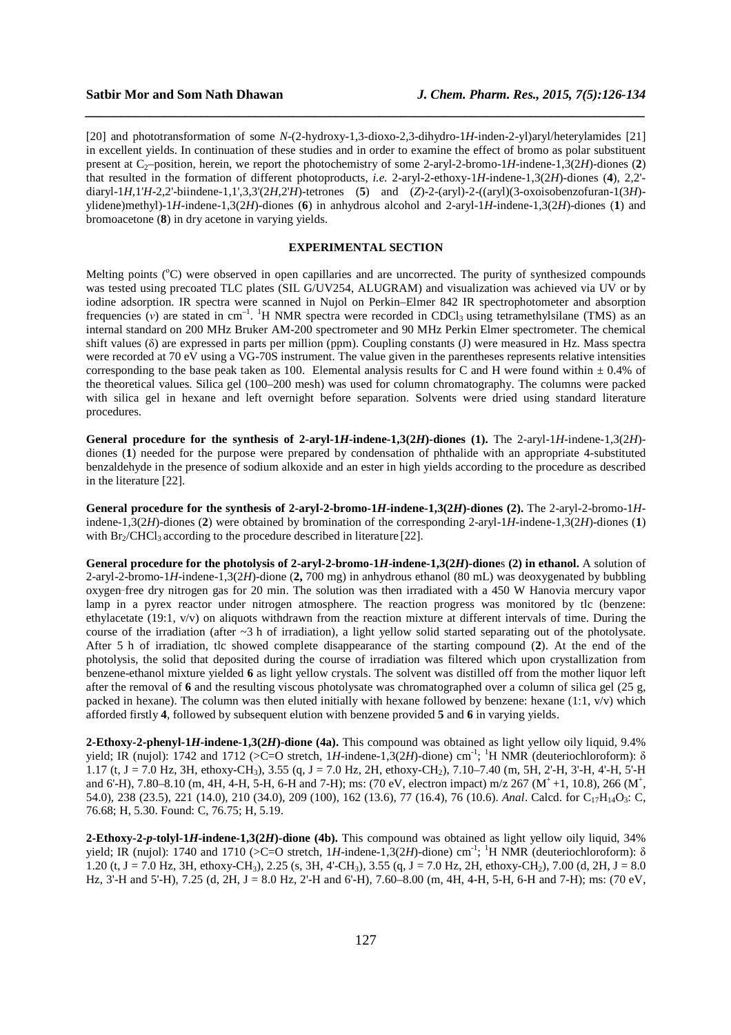[20] and phototransformation of some *N*-(2-hydroxy-1,3-dioxo-2,3-dihydro-1*H*-inden-2-yl)aryl/heterylamides [21] in excellent yields. In continuation of these studies and in order to examine the effect of bromo as polar substituent present at  $C_2$ –position, herein, we report the photochemistry of some 2-aryl-2-bromo-1*H*-indene-1,3(2*H*)-diones (2) that resulted in the formation of different photoproducts, *i.e.* 2-aryl-2-ethoxy-1*H*-indene-1,3(2*H*)-diones (**4**), 2,2' diaryl-1*H*,1'*H*-2,2'-biindene-1,1',3,3'(2*H*,2'*H*)-tetrones (**5**) and (*Z*)-2-(aryl)-2-((aryl)(3-oxoisobenzofuran-1(3*H*) ylidene)methyl)-1*H*-indene-1,3(2*H*)-diones (**6**) in anhydrous alcohol and 2-aryl-1*H*-indene-1,3(2*H*)-diones (**1**) and bromoacetone (**8**) in dry acetone in varying yields.

*\_\_\_\_\_\_\_\_\_\_\_\_\_\_\_\_\_\_\_\_\_\_\_\_\_\_\_\_\_\_\_\_\_\_\_\_\_\_\_\_\_\_\_\_\_\_\_\_\_\_\_\_\_\_\_\_\_\_\_\_\_\_\_\_\_\_\_\_\_\_\_\_\_\_\_\_\_\_*

## **EXPERIMENTAL SECTION**

Melting points (<sup>o</sup>C) were observed in open capillaries and are uncorrected. The purity of synthesized compounds was tested using precoated TLC plates (SIL G/UV254, ALUGRAM) and visualization was achieved via UV or by iodine adsorption. IR spectra were scanned in Nujol on Perkin–Elmer 842 IR spectrophotometer and absorption frequencies (*v*) are stated in cm<sup>-1</sup>. <sup>1</sup>H NMR spectra were recorded in CDCl<sub>3</sub> using tetramethylsilane (TMS) as an internal standard on 200 MHz Bruker AM-200 spectrometer and 90 MHz Perkin Elmer spectrometer. The chemical shift values (δ) are expressed in parts per million (ppm). Coupling constants (J) were measured in Hz. Mass spectra were recorded at 70 eV using a VG-70S instrument. The value given in the parentheses represents relative intensities corresponding to the base peak taken as 100. Elemental analysis results for C and H were found within  $\pm 0.4\%$  of the theoretical values. Silica gel (100–200 mesh) was used for column chromatography. The columns were packed with silica gel in hexane and left overnight before separation. Solvents were dried using standard literature procedures.

**General procedure for the synthesis of 2-aryl-1***H***-indene-1,3(2***H***)-diones (1).** The 2-aryl-1*H*-indene-1,3(2*H*) diones (1) needed for the purpose were prepared by condensation of phthalide with an appropriate 4-substituted benzaldehyde in the presence of sodium alkoxide and an ester in high yields according to the procedure as described in the literature [22].

**General procedure for the synthesis of 2-aryl-2-bromo-1***H***-indene-1,3(2***H***)-diones (2).** The 2-aryl-2-bromo-1*H*indene-1,3(2*H*)-diones (**2**) were obtained by bromination of the corresponding 2-aryl-1*H*-indene-1,3(2*H*)-diones (**1**) with  $Br_2/CHCl_3$  according to the procedure described in literature [22].

**General procedure for the photolysis of 2-aryl-2-bromo-1***H***-indene-1,3(2***H***)-dione**s **(2) in ethanol.** A solution of 2-aryl-2-bromo-1*H*-indene-1,3(2*H*)-dione (**2,** 700 mg) in anhydrous ethanol (80 mL) was deoxygenated by bubbling oxygen-free dry nitrogen gas for 20 min. The solution was then irradiated with a 450 W Hanovia mercury vapor lamp in a pyrex reactor under nitrogen atmosphere. The reaction progress was monitored by tlc (benzene: ethylacetate (19:1, v/v) on aliquots withdrawn from the reaction mixture at different intervals of time. During the course of the irradiation (after  $\sim$ 3 h of irradiation), a light yellow solid started separating out of the photolysate. After 5 h of irradiation, tlc showed complete disappearance of the starting compound (**2**). At the end of the photolysis, the solid that deposited during the course of irradiation was filtered which upon crystallization from benzene-ethanol mixture yielded **6** as light yellow crystals. The solvent was distilled off from the mother liquor left after the removal of **6** and the resulting viscous photolysate was chromatographed over a column of silica gel (25 g, packed in hexane). The column was then eluted initially with hexane followed by benzene: hexane (1:1, v/v) which afforded firstly **4**, followed by subsequent elution with benzene provided **5** and **6** in varying yields.

**2-Ethoxy-2-phenyl-1***H***-indene-1,3(2***H***)-dione (4a).** This compound was obtained as light yellow oily liquid, 9.4% yield; IR (nujol): 1742 and 1712 (>C=O stretch, 1*H*-indene-1,3(2*H*)-dione) cm<sup>-1</sup>; <sup>1</sup>H NMR (deuteriochloroform): δ 1.17 (t, J = 7.0 Hz, 3H, ethoxy-CH3), 3.55 (q, J = 7.0 Hz, 2H, ethoxy-CH2), 7.10–7.40 (m, 5H, 2'-H, 3'-H, 4'-H, 5'-H and 6'-H), 7.80–8.10 (m, 4H, 4-H, 5-H, 6-H and 7-H); ms: (70 eV, electron impact) m/z 267 (M<sup>+</sup>+1, 10.8), 266 (M<sup>+</sup>, 54.0), 238 (23.5), 221 (14.0), 210 (34.0), 209 (100), 162 (13.6), 77 (16.4), 76 (10.6). *Anal*. Calcd. for C<sub>17</sub>H<sub>14</sub>O<sub>3</sub>: C, 76.68; H, 5.30. Found: C, 76.75; H, 5.19.

**2-Ethoxy-2-***p***-tolyl-1***H***-indene-1,3(2***H***)-dione (4b).** This compound was obtained as light yellow oily liquid, 34% yield; IR (nujol): 1740 and 1710 (>C=O stretch, 1*H*-indene-1,3(2*H*)-dione) cm<sup>-1</sup>; <sup>1</sup>H NMR (deuteriochloroform): δ 1.20 (t, J = 7.0 Hz, 3H, ethoxy-CH<sub>3</sub>), 2.25 (s, 3H, 4'-CH<sub>3</sub>), 3.55 (q, J = 7.0 Hz, 2H, ethoxy-CH<sub>2</sub>), 7.00 (d, 2H, J = 8.0 Hz, 3'-H and 5'-H), 7.25 (d, 2H, J = 8.0 Hz, 2'-H and 6'-H), 7.60–8.00 (m, 4H, 4-H, 5-H, 6-H and 7-H); ms: (70 eV,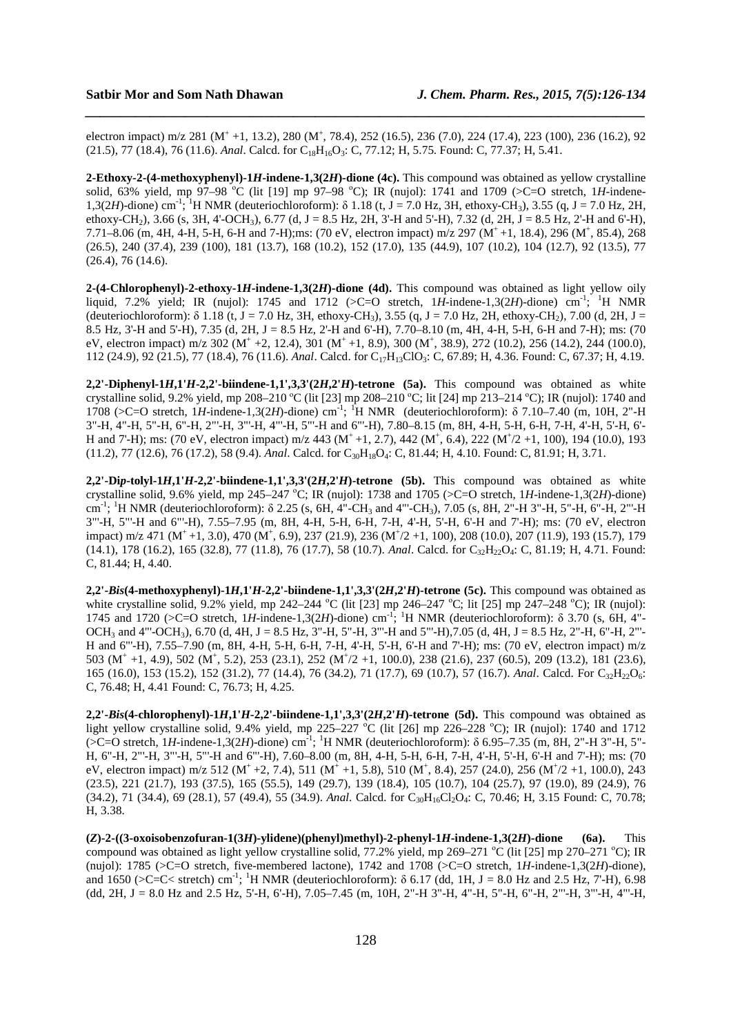electron impact) m/z 281 (M<sup>+</sup> +1, 13.2), 280 (M<sup>+</sup>, 78.4), 252 (16.5), 236 (7.0), 224 (17.4), 223 (100), 236 (16.2), 92 (21.5), 77 (18.4), 76 (11.6). *Anal*. Calcd. for C<sub>18</sub>H<sub>16</sub>O<sub>3</sub>: C, 77.12; H, 5.75. Found: C, 77.37; H, 5.41.

*\_\_\_\_\_\_\_\_\_\_\_\_\_\_\_\_\_\_\_\_\_\_\_\_\_\_\_\_\_\_\_\_\_\_\_\_\_\_\_\_\_\_\_\_\_\_\_\_\_\_\_\_\_\_\_\_\_\_\_\_\_\_\_\_\_\_\_\_\_\_\_\_\_\_\_\_\_\_*

**2-Ethoxy-2-(4-methoxyphenyl)-1***H***-indene-1,3(2***H***)-dione (4c).** This compound was obtained as yellow crystalline solid, 63% yield, mp 97–98 °C (lit [19] mp 97–98 °C); IR (nujol): 1741 and 1709 ( $>$ C=O stretch, 1*H*-indene-1,3(2*H*)-dione) cm-1; <sup>1</sup>H NMR (deuteriochloroform): δ 1.18 (t, J = 7.0 Hz, 3H, ethoxy-CH3), 3.55 (q, J = 7.0 Hz, 2H, ethoxy-CH<sub>2</sub>), 3.66 (s, 3H, 4'-OCH<sub>3</sub>), 6.77 (d, J = 8.5 Hz, 2H, 3'-H and 5'-H), 7.32 (d, 2H, J = 8.5 Hz, 2'-H and 6'-H), 7.71–8.06 (m, 4H, 4-H, 5-H, 6-H and 7-H);ms: (70 eV, electron impact) m/z 297 (M<sup>+</sup>+1, 18.4), 296 (M<sup>+</sup>, 85.4), 268 (26.5), 240 (37.4), 239 (100), 181 (13.7), 168 (10.2), 152 (17.0), 135 (44.9), 107 (10.2), 104 (12.7), 92 (13.5), 77 (26.4), 76 (14.6).

**2-(4-Chlorophenyl)-2-ethoxy-1***H***-indene-1,3(2***H***)-dione (4d). This compound was obtained as light yellow oily** liquid, 7.2% yield; IR (nujol): 1745 and 1712 ( $>$ C=O stretch, 1*H*-indene-1,3(2*H*)-dione) cm<sup>-1</sup>; <sup>1</sup>H NMR (deuteriochloroform):  $\delta$  1.18 (t, J = 7.0 Hz, 3H, ethoxy-CH<sub>3</sub>), 3.55 (q, J = 7.0 Hz, 2H, ethoxy-CH<sub>2</sub>), 7.00 (d, 2H, J = 8.5 Hz, 3'-H and 5'-H), 7.35 (d, 2H, J = 8.5 Hz, 2'-H and 6'-H), 7.70–8.10 (m, 4H, 4-H, 5-H, 6-H and 7-H); ms: (70 eV, electron impact) m/z 302 (M<sup>+</sup> +2, 12.4), 301 (M<sup>+</sup> +1, 8.9), 300 (M<sup>+</sup>, 38.9), 272 (10.2), 256 (14.2), 244 (100.0), 112 (24.9), 92 (21.5), 77 (18.4), 76 (11.6). *Anal*. Calcd. for C17H13ClO3: C, 67.89; H, 4.36. Found: C, 67.37; H, 4.19.

**2,2'-Diphenyl-1***H***,1'***H***-2,2'-biindene-1,1',3,3'(2***H***,2'***H***)-tetrone (5a). This compound was obtained as white** crystalline solid, 9.2% yield, mp 208–210 °C (lit [23] mp 208–210 °C; lit [24] mp 213–214 °C); IR (nujol): 1740 and 1708 (>C=O stretch, 1*H*-indene-1,3(2*H*)-dione) cm<sup>-1</sup>; <sup>1</sup>H NMR (deuteriochloroform): δ 7.10–7.40 (m, 10H, 2"-H 3"-H, 4"-H, 5"-H, 6"-H, 2"'-H, 3"'-H, 4"'-H, 5"'-H and 6"'-H), 7.80–8.15 (m, 8H, 4-H, 5-H, 6-H, 7-H, 4'-H, 5'-H, 6'- H and 7'-H); ms: (70 eV, electron impact) m/z 443 (M<sup>+</sup> +1, 2.7), 442 (M<sup>+</sup>, 6.4), 222 (M<sup>+</sup>/2 +1, 100), 194 (10.0), 193 (11.2), 77 (12.6), 76 (17.2), 58 (9.4). *Anal*. Calcd. for C30H18O4: C, 81.44; H, 4.10. Found: C, 81.91; H, 3.71.

**2,2'-Di***p***-tolyl-1***H***,1'***H***-2,2'-biindene-1,1',3,3'(2***H***,2'***H***)-tetrone (5b).** This compound was obtained as white crystalline solid, 9.6% yield, mp 245–247 °C; IR (nujol): 1738 and 1705 (>C=O stretch, 1*H*-indene-1,3(2*H*)-dione) cm<sup>-1</sup>; <sup>1</sup>H NMR (deuteriochloroform):  $\delta$  2.25 (s, 6H, 4"-CH<sub>3</sub> and 4"'-CH<sub>3</sub>), 7.05 (s, 8H, 2"-H 3"-H, 5"-H, 6"-H, 2"-H 3"'-H, 5"'-H and 6"'-H), 7.55–7.95 (m, 8H, 4-H, 5-H, 6-H, 7-H, 4'-H, 5'-H, 6'-H and 7'-H); ms: (70 eV, electron impact) m/z 471 (M<sup>+</sup> +1, 3.0), 470 (M<sup>+</sup>, 6.9), 237 (21.9), 236 (M<sup>+</sup>/2 +1, 100), 208 (10.0), 207 (11.9), 193 (15.7), 179 (14.1), 178 (16.2), 165 (32.8), 77 (11.8), 76 (17.7), 58 (10.7). *Anal*. Calcd. for C<sub>32</sub>H<sub>22</sub>O<sub>4</sub>: C, 81.19; H, 4.71. Found: C, 81.44; H, 4.40.

**2,2'-***Bis***(4-methoxyphenyl)-1***H***,1'***H***-2,2'-biindene-1,1',3,3'(2***H***,2'***H***)-tetrone (5c).** This compound was obtained as white crystalline solid, 9.2% yield, mp 242–244 °C (lit [23] mp 246–247 °C; lit [25] mp 247–248 °C); IR (nujol): 1745 and 1720 (>C=O stretch, 1*H*-indene-1,3(2*H*)-dione) cm-1; <sup>1</sup>H NMR (deuteriochloroform): δ 3.70 (s, 6H, 4"- OCH<sub>3</sub> and 4"'-OCH<sub>3</sub>), 6.70 (d, 4H, J = 8.5 Hz, 3"-H, 5"-H, 3"'-H and 5"'-H), 7.05 (d, 4H, J = 8.5 Hz, 2"-H, 6"-H, 2"'-H and 6"'-H), 7.55–7.90 (m, 8H, 4-H, 5-H, 6-H, 7-H, 4'-H, 5'-H, 6'-H and 7'-H); ms: (70 eV, electron impact) m/z 503 (M<sup>+</sup> +1, 4.9), 502 (M<sup>+</sup>, 5.2), 253 (23.1), 252 (M<sup>+</sup>/2 +1, 100.0), 238 (21.6), 237 (60.5), 209 (13.2), 181 (23.6), 165 (16.0), 153 (15.2), 152 (31.2), 77 (14.4), 76 (34.2), 71 (17.7), 69 (10.7), 57 (16.7). *Anal*. Calcd. For C<sub>32</sub>H<sub>22</sub>O<sub>6</sub>: C, 76.48; H, 4.41 Found: C, 76.73; H, 4.25.

**2,2'-***Bis***(4-chlorophenyl)-1***H***,1'***H***-2,2'-biindene-1,1',3,3'(2***H***,2'***H***)-tetrone (5d).** This compound was obtained as light yellow crystalline solid, 9.4% yield, mp 225–227 °C (lit [26] mp 226–228 °C); IR (nujol): 1740 and 1712 (>C=O stretch, 1*H*-indene-1,3(2*H*)-dione) cm-1; <sup>1</sup>H NMR (deuteriochloroform): δ 6.95–7.35 (m, 8H, 2"-H 3"-H, 5"- H, 6"-H, 2"'-H, 3"'-H, 5"'-H and 6"'-H), 7.60–8.00 (m, 8H, 4-H, 5-H, 6-H, 7-H, 4'-H, 5'-H, 6'-H and 7'-H); ms: (70 eV, electron impact) m/z 512 (M<sup>+</sup> +2, 7.4), 511 (M<sup>+</sup> +1, 5.8), 510 (M<sup>+</sup>, 8.4), 257 (24.0), 256 (M<sup>+</sup>/2 +1, 100.0), 243 (23.5), 221 (21.7), 193 (37.5), 165 (55.5), 149 (29.7), 139 (18.4), 105 (10.7), 104 (25.7), 97 (19.0), 89 (24.9), 76 (34.2), 71 (34.4), 69 (28.1), 57 (49.4), 55 (34.9). *Anal*. Calcd. for C<sub>30</sub>H<sub>16</sub>Cl<sub>2</sub>O<sub>4</sub>: C, 70.46; H, 3.15 Found: C, 70.78; H, 3.38.

**(***Z***)-2-((3-oxoisobenzofuran-1(3***H***)-ylidene)(phenyl)methyl)-2-phenyl-1***H***-indene-1,3(2***H***)-dione (6a).** This compound was obtained as light yellow crystalline solid, 77.2% yield, mp 269–271 °C (lit [25] mp 270–271 °C); IR (nujol): 1785 (>C=O stretch, five-membered lactone), 1742 and 1708 (>C=O stretch, 1*H*-indene-1,3(2*H*)-dione), and 1650 ( $\geq$ C=C $\lt$  stretch) cm<sup>-1</sup>; <sup>1</sup>H NMR (deuteriochloroform):  $\delta$  6.17 (dd, 1H, J = 8.0 Hz and 2.5 Hz, 7<sup>'-</sup>H), 6.98 (dd, 2H, J = 8.0 Hz and 2.5 Hz, 5'-H, 6'-H), 7.05–7.45 (m, 10H, 2"-H 3"-H, 4"-H, 5"-H, 6"-H, 2"'-H, 3"'-H, 4"'-H,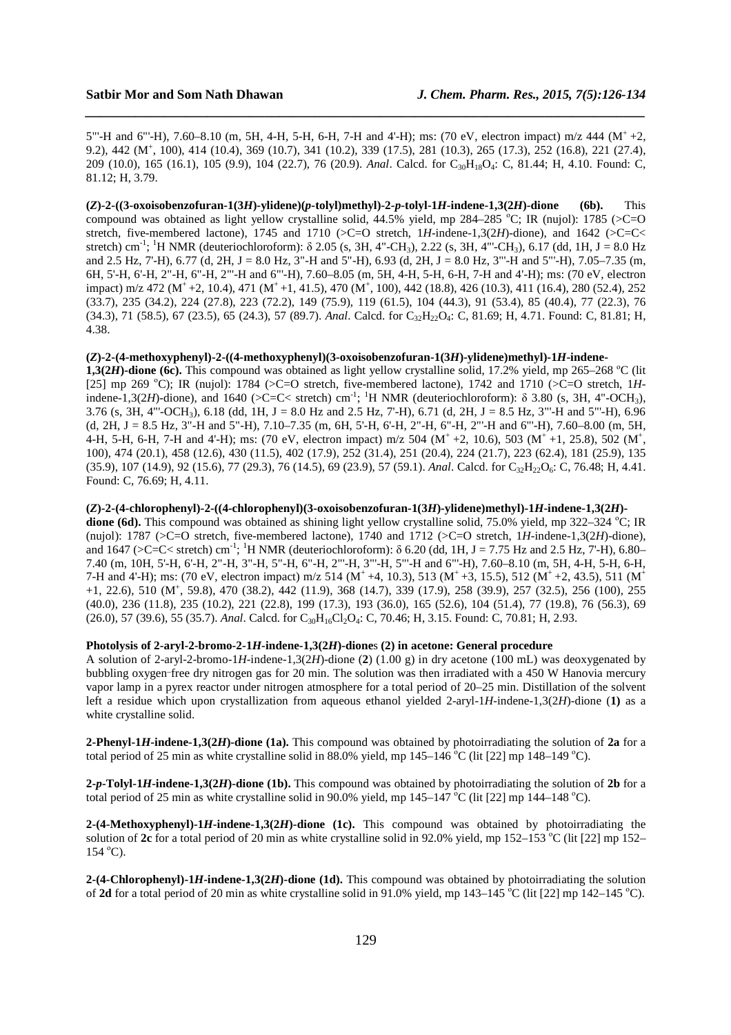5"'-H and 6"'-H), 7.60–8.10 (m, 5H, 4-H, 5-H, 6-H, 7-H and 4'-H); ms: (70 eV, electron impact) m/z 444 (M<sup>+</sup>+2, 9.2), 442 (M<sup>+</sup> , 100), 414 (10.4), 369 (10.7), 341 (10.2), 339 (17.5), 281 (10.3), 265 (17.3), 252 (16.8), 221 (27.4), 209 (10.0), 165 (16.1), 105 (9.9), 104 (22.7), 76 (20.9). *Anal*. Calcd. for C<sub>30</sub>H<sub>18</sub>O<sub>4</sub>: C, 81.44; H, 4.10. Found: C, 81.12; H, 3.79.

*\_\_\_\_\_\_\_\_\_\_\_\_\_\_\_\_\_\_\_\_\_\_\_\_\_\_\_\_\_\_\_\_\_\_\_\_\_\_\_\_\_\_\_\_\_\_\_\_\_\_\_\_\_\_\_\_\_\_\_\_\_\_\_\_\_\_\_\_\_\_\_\_\_\_\_\_\_\_*

**(***Z***)-2-((3-oxoisobenzofuran-1(3***H***)-ylidene)(***p***-tolyl)methyl)-2-***p***-tolyl-1***H***-indene-1,3(2***H***)-dione (6b).** This compound was obtained as light yellow crystalline solid, 44.5% yield, mp 284–285 °C; IR (nujol): 1785 ( $>$ C=O stretch, five-membered lactone), 1745 and 1710 (>C=O stretch, 1H-indene-1,3(2H)-dione), and 1642 (>C=C< stretch) cm<sup>-1</sup>; <sup>1</sup>H NMR (deuteriochloroform):  $\delta$  2.05 (s, 3H, 4"-CH<sub>3</sub>), 2.22 (s, 3H, 4"-CH<sub>3</sub>), 6.17 (dd, 1H, J = 8.0 Hz and 2.5 Hz, 7'-H), 6.77 (d, 2H, J = 8.0 Hz, 3"-H and 5"-H), 6.93 (d, 2H, J = 8.0 Hz, 3"'-H and 5"'-H), 7.05–7.35 (m, 6H, 5'-H, 6'-H, 2"-H, 6"-H, 2"'-H and 6"'-H), 7.60–8.05 (m, 5H, 4-H, 5-H, 6-H, 7-H and 4'-H); ms: (70 eV, electron impact) m/z 472 (M<sup>+</sup> +2, 10.4), 471 (M<sup>+</sup> +1, 41.5), 470 (M<sup>+</sup>, 100), 442 (18.8), 426 (10.3), 411 (16.4), 280 (52.4), 252 (33.7), 235 (34.2), 224 (27.8), 223 (72.2), 149 (75.9), 119 (61.5), 104 (44.3), 91 (53.4), 85 (40.4), 77 (22.3), 76 (34.3), 71 (58.5), 67 (23.5), 65 (24.3), 57 (89.7). *Anal*. Calcd. for C<sub>32</sub>H<sub>22</sub>O<sub>4</sub>: C, 81.69; H, 4.71. Found: C, 81.81; H, 4.38.

## **(***Z***)-2-(4-methoxyphenyl)-2-((4-methoxyphenyl)(3-oxoisobenzofuran-1(3***H***)-ylidene)methyl)-1***H***-indene-**

**1,3(2***H*)-dione (6c). This compound was obtained as light yellow crystalline solid, 17.2% yield, mp 265–268 °C (lit [25] mp 269 °C); IR (nujol): 1784 ( $>$ C=O stretch, five-membered lactone), 1742 and 1710 ( $>$ C=O stretch, 1*H*indene-1,3(2*H*)-dione), and 1640 ( $>C=C<$  stretch) cm<sup>-1</sup>; <sup>1</sup>H NMR (deuteriochloroform): δ 3.80 (s, 3H, 4"-OCH<sub>3</sub>), 3.76 (s, 3H, 4"'-OCH3), 6.18 (dd, 1H, J = 8.0 Hz and 2.5 Hz, 7'-H), 6.71 (d, 2H, J = 8.5 Hz, 3"'-H and 5"'-H), 6.96 (d, 2H, J = 8.5 Hz, 3"-H and 5"-H), 7.10–7.35 (m, 6H, 5'-H, 6'-H, 2"-H, 6"-H, 2"'-H and 6"'-H), 7.60–8.00 (m, 5H, 4-H, 5-H, 6-H, 7-H and 4'-H); ms: (70 eV, electron impact) m/z 504 ( $M^+$  +2, 10.6), 503 ( $M^+$  +1, 25.8), 502 ( $M^+$ , 100), 474 (20.1), 458 (12.6), 430 (11.5), 402 (17.9), 252 (31.4), 251 (20.4), 224 (21.7), 223 (62.4), 181 (25.9), 135 (35.9), 107 (14.9), 92 (15.6), 77 (29.3), 76 (14.5), 69 (23.9), 57 (59.1). *Anal*. Calcd. for C<sub>32</sub>H<sub>22</sub>O<sub>6</sub>: C, 76.48; H, 4.41. Found: C, 76.69; H, 4.11.

## **(***Z***)-2-(4-chlorophenyl)-2-((4-chlorophenyl)(3-oxoisobenzofuran-1(3***H***)-ylidene)methyl)-1***H***-indene-1,3(2***H***)-**

**dione (6d).** This compound was obtained as shining light yellow crystalline solid, 75.0% yield, mp 322–324 °C; IR (nujol): 1787 (>C=O stretch, five-membered lactone), 1740 and 1712 (>C=O stretch, 1*H*-indene-1,3(2*H*)-dione), and 1647 (>C=C< stretch) cm<sup>-1</sup>; <sup>1</sup>H NMR (deuteriochloroform):  $\delta$  6.20 (dd, 1H, J = 7.75 Hz and 2.5 Hz, 7'-H), 6.80– 7.40 (m, 10H, 5'-H, 6'-H, 2"-H, 3"-H, 5"-H, 6"-H, 2"'-H, 3"'-H, 5"'-H and 6"'-H), 7.60–8.10 (m, 5H, 4-H, 5-H, 6-H, 7-H and 4'-H); ms: (70 eV, electron impact) m/z 514 (M<sup>+</sup> +4, 10.3), 513 (M<sup>+</sup> +3, 15.5), 512 (M<sup>+</sup> +2, 43.5), 511 (M<sup>+</sup> +1, 22.6), 510 (M<sup>+</sup> , 59.8), 470 (38.2), 442 (11.9), 368 (14.7), 339 (17.9), 258 (39.9), 257 (32.5), 256 (100), 255 (40.0), 236 (11.8), 235 (10.2), 221 (22.8), 199 (17.3), 193 (36.0), 165 (52.6), 104 (51.4), 77 (19.8), 76 (56.3), 69 (26.0), 57 (39.6), 55 (35.7). *Anal*. Calcd. for C30H16Cl2O4: C, 70.46; H, 3.15. Found: C, 70.81; H, 2.93.

### **Photolysis of 2-aryl-2-bromo-2-1***H***-indene-1,3(2***H***)-dione**s **(2) in acetone: General procedure**

A solution of 2-aryl-2-bromo-1*H*-indene-1,3(2*H*)-dione (**2**) (1.00 g) in dry acetone (100 mL) was deoxygenated by bubbling oxygen-free dry nitrogen gas for 20 min. The solution was then irradiated with a 450 W Hanovia mercury vapor lamp in a pyrex reactor under nitrogen atmosphere for a total period of 20–25 min. Distillation of the solvent left a residue which upon crystallization from aqueous ethanol yielded 2-aryl-1*H*-indene-1,3(2*H*)-dione (**1)** as a white crystalline solid.

**2-Phenyl-1***H***-indene-1,3(2***H***)-dione (1a).** This compound was obtained by photoirradiating the solution of **2a** for a total period of 25 min as white crystalline solid in 88.0% yield, mp 145–146 °C (lit [22] mp 148–149 °C).

**2-***p***-Tolyl-1***H***-indene-1,3(2***H***)-dione (1b).** This compound was obtained by photoirradiating the solution of **2b** for a total period of 25 min as white crystalline solid in 90.0% yield, mp  $145-147$  °C (lit [22] mp  $144-148$  °C).

**2-(4-Methoxyphenyl)-1***H***-indene-1,3(2***H***)-dione (1c).** This compound was obtained by photoirradiating the solution of **2c** for a total period of 20 min as white crystalline solid in 92.0% yield, mp 152–153 °C (lit [22] mp 152–  $154 \text{ °C}$ ).

**2-(4-Chlorophenyl)-1***H***-indene-1,3(2***H***)-dione (1d).** This compound was obtained by photoirradiating the solution of **2d** for a total period of 20 min as white crystalline solid in 91.0% yield, mp 143–145 <sup>o</sup>C (lit [22] mp 142–145 <sup>o</sup>C).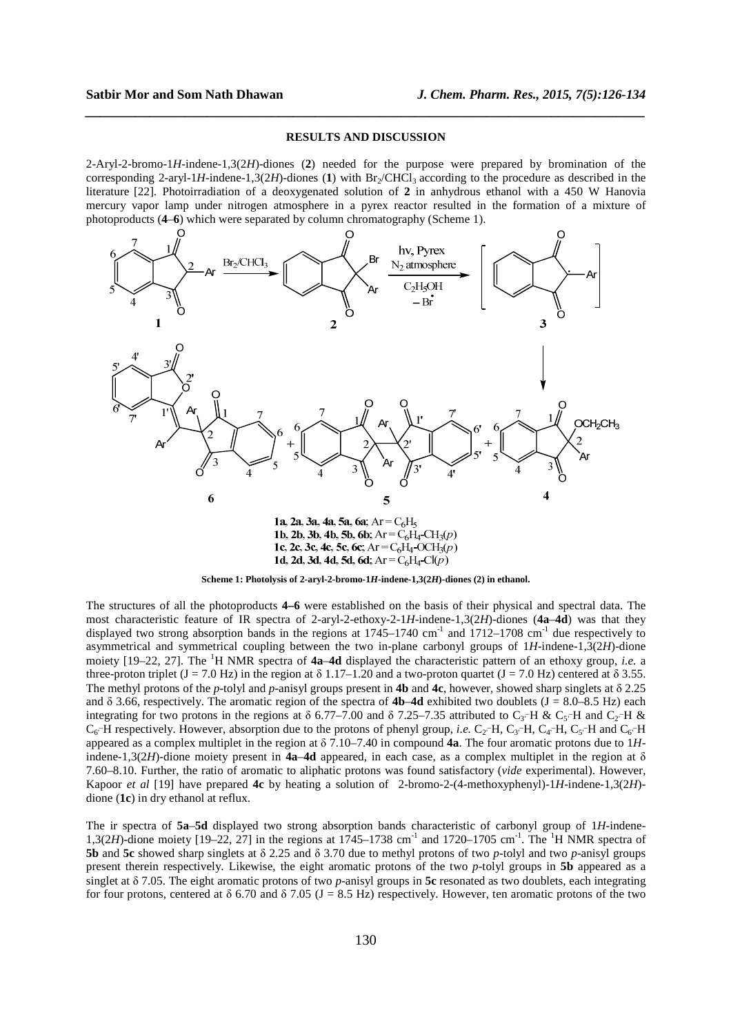### **RESULTS AND DISCUSSION**

*\_\_\_\_\_\_\_\_\_\_\_\_\_\_\_\_\_\_\_\_\_\_\_\_\_\_\_\_\_\_\_\_\_\_\_\_\_\_\_\_\_\_\_\_\_\_\_\_\_\_\_\_\_\_\_\_\_\_\_\_\_\_\_\_\_\_\_\_\_\_\_\_\_\_\_\_\_\_*

2-Aryl-2-bromo-1*H*-indene-1,3(2*H*)-diones (**2**) needed for the purpose were prepared by bromination of the corresponding 2-aryl-1*H*-indene-1,3(2*H*)-diones (1) with  $Br_2/CHCl_3$  according to the procedure as described in the literature [22]. Photoirradiation of a deoxygenated solution of **2** in anhydrous ethanol with a 450 W Hanovia mercury vapor lamp under nitrogen atmosphere in a pyrex reactor resulted in the formation of a mixture of photoproducts (**4**–**6**) which were separated by column chromatography (Scheme 1).



**Scheme 1: Photolysis of 2-aryl-2-bromo-1***H***-indene-1,3(2***H***)-diones (2) in ethanol.** 

The structures of all the photoproducts **4–6** were established on the basis of their physical and spectral data. The most characteristic feature of IR spectra of 2-aryl-2-ethoxy-2-1*H*-indene-1,3(2*H*)-diones (**4a**–**4d**) was that they displayed two strong absorption bands in the regions at  $1745-1740$  cm<sup>-1</sup> and  $1712-1708$  cm<sup>-1</sup> due respectively to asymmetrical and symmetrical coupling between the two in-plane carbonyl groups of 1*H*-indene-1,3(2*H*)-dione moiety [19–22, 27]. The <sup>1</sup>H NMR spectra of **4a–4d** displayed the characteristic pattern of an ethoxy group, *i.e.* a three-proton triplet (J = 7.0 Hz) in the region at  $\delta$  1.17–1.20 and a two-proton quartet (J = 7.0 Hz) centered at  $\delta$  3.55. The methyl protons of the *p*-tolyl and *p*-anisyl groups present in **4b** and **4c**, however, showed sharp singlets at δ 2.25 and δ 3.66, respectively. The aromatic region of the spectra of **4b**–**4d** exhibited two doublets (J = 8.0–8.5 Hz) each integrating for two protons in the regions at  $\delta$  6.77–7.00 and  $\delta$  7.25–7.35 attributed to C<sub>3</sub>-H & C<sub>5</sub>-H and C<sub>2</sub>-H &  $C_6$ <sup>-</sup>H respectively. However, absorption due to the protons of phenyl group, *i.e.*  $C_2$ -H,  $C_3$ -H,  $C_4$ -H,  $C_5$ -H and  $C_6$ -H appeared as a complex multiplet in the region at δ 7.10–7.40 in compound **4a**. The four aromatic protons due to 1*H*indene-1,3(2*H*)-dione moiety present in **4a–4d** appeared, in each case, as a complex multiplet in the region at  $\delta$ 7.60–8.10. Further, the ratio of aromatic to aliphatic protons was found satisfactory (*vide* experimental). However, Kapoor *et al* [19] have prepared **4c** by heating a solution of 2-bromo-2-(4-methoxyphenyl)-1*H*-indene-1,3(2*H*) dione (**1c**) in dry ethanol at reflux.

The ir spectra of **5a**–**5d** displayed two strong absorption bands characteristic of carbonyl group of 1*H*-indene-1,3(2*H*)-dione moiety [19–22, 27] in the regions at 1745–1738 cm<sup>-1</sup> and 1720–1705 cm<sup>-1</sup>. The <sup>1</sup>H NMR spectra of **5b** and **5c** showed sharp singlets at δ 2.25 and δ 3.70 due to methyl protons of two *p*-tolyl and two *p*-anisyl groups present therein respectively. Likewise, the eight aromatic protons of the two *p*-tolyl groups in **5b** appeared as a singlet at δ 7.05. The eight aromatic protons of two *p*-anisyl groups in **5c** resonated as two doublets, each integrating for four protons, centered at  $\delta$  6.70 and  $\delta$  7.05 (J = 8.5 Hz) respectively. However, ten aromatic protons of the two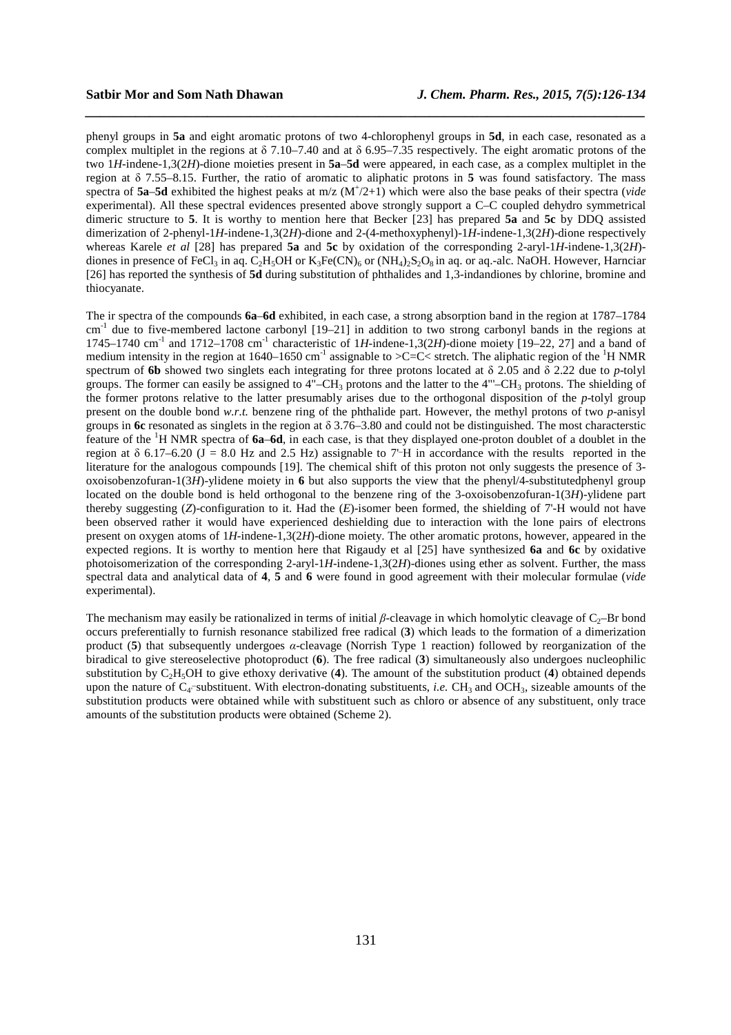phenyl groups in **5a** and eight aromatic protons of two 4-chlorophenyl groups in **5d**, in each case, resonated as a complex multiplet in the regions at  $\delta$  7.10–7.40 and at  $\delta$  6.95–7.35 respectively. The eight aromatic protons of the two 1*H*-indene-1,3(2*H*)-dione moieties present in **5a**–**5d** were appeared, in each case, as a complex multiplet in the region at δ 7.55–8.15. Further, the ratio of aromatic to aliphatic protons in **5** was found satisfactory. The mass spectra of **5a**–**5d** exhibited the highest peaks at m/z (M<sup>+</sup> /2+1) which were also the base peaks of their spectra (*vide*  experimental). All these spectral evidences presented above strongly support a C–C coupled dehydro symmetrical dimeric structure to **5**. It is worthy to mention here that Becker [23] has prepared **5a** and **5c** by DDQ assisted dimerization of 2-phenyl-1*H*-indene-1,3(2*H*)-dione and 2-(4-methoxyphenyl)-1*H*-indene-1,3(2*H*)-dione respectively whereas Karele *et al* [28] has prepared **5a** and **5c** by oxidation of the corresponding 2-aryl-1*H*-indene-1,3(2*H*) diones in presence of FeCl<sub>3</sub> in aq. C<sub>2</sub>H<sub>5</sub>OH or K<sub>3</sub>Fe(CN)<sub>6</sub> or (NH<sub>4</sub>)<sub>2</sub>S<sub>2</sub>O<sub>8</sub> in aq. or aq.-alc. NaOH. However, Harnciar [26] has reported the synthesis of **5d** during substitution of phthalides and 1,3-indandiones by chlorine, bromine and thiocyanate.

*\_\_\_\_\_\_\_\_\_\_\_\_\_\_\_\_\_\_\_\_\_\_\_\_\_\_\_\_\_\_\_\_\_\_\_\_\_\_\_\_\_\_\_\_\_\_\_\_\_\_\_\_\_\_\_\_\_\_\_\_\_\_\_\_\_\_\_\_\_\_\_\_\_\_\_\_\_\_*

The ir spectra of the compounds **6a**–**6d** exhibited, in each case, a strong absorption band in the region at 1787–1784 cm<sup>-1</sup> due to five-membered lactone carbonyl [19–21] in addition to two strong carbonyl bands in the regions at 1745–1740 cm<sup>-1</sup> and 1712–1708 cm<sup>-1</sup> characteristic of 1*H*-indene-1,3(2*H*)-dione moiety [19–22, 27] and a band of medium intensity in the region at 1640–1650 cm<sup>-1</sup> assignable to  $\geq$ C $\leq$  stretch. The aliphatic region of the <sup>1</sup>H NMR spectrum of **6b** showed two singlets each integrating for three protons located at δ 2.05 and δ 2.22 due to *p*-tolyl groups. The former can easily be assigned to  $4"$ –CH<sub>3</sub> protons and the latter to the  $4"$ –CH<sub>3</sub> protons. The shielding of the former protons relative to the latter presumably arises due to the orthogonal disposition of the *p*-tolyl group present on the double bond *w.r.t.* benzene ring of the phthalide part. However, the methyl protons of two *p*-anisyl groups in **6c** resonated as singlets in the region at δ 3.76–3.80 and could not be distinguished. The most characterstic feature of the <sup>1</sup>H NMR spectra of **6a**–**6d**, in each case, is that they displayed one-proton doublet of a doublet in the region at  $\delta$  6.17–6.20 (J = 8.0 Hz and 2.5 Hz) assignable to 7<sup>-</sup>H in accordance with the results reported in the literature for the analogous compounds [19]. The chemical shift of this proton not only suggests the presence of 3oxoisobenzofuran-1(3*H*)-ylidene moiety in **6** but also supports the view that the phenyl/4-substitutedphenyl group located on the double bond is held orthogonal to the benzene ring of the 3-oxoisobenzofuran-1(3*H*)-ylidene part thereby suggesting (*Z*)-configuration to it. Had the (*E*)-isomer been formed, the shielding of 7'-H would not have been observed rather it would have experienced deshielding due to interaction with the lone pairs of electrons present on oxygen atoms of 1*H*-indene-1,3(2*H*)-dione moiety. The other aromatic protons, however, appeared in the expected regions. It is worthy to mention here that Rigaudy et al [25] have synthesized **6a** and **6c** by oxidative photoisomerization of the corresponding 2-aryl-1*H*-indene-1,3(2*H*)-diones using ether as solvent. Further, the mass spectral data and analytical data of **4**, **5** and **6** were found in good agreement with their molecular formulae (*vide* experimental).

The mechanism may easily be rationalized in terms of initial *β*-cleavage in which homolytic cleavage of C<sub>2</sub>–Br bond occurs preferentially to furnish resonance stabilized free radical (**3**) which leads to the formation of a dimerization product (**5**) that subsequently undergoes *α*-cleavage (Norrish Type 1 reaction) followed by reorganization of the biradical to give stereoselective photoproduct (**6**). The free radical (**3**) simultaneously also undergoes nucleophilic substitution by C2H5OH to give ethoxy derivative (**4**). The amount of the substitution product (**4**) obtained depends upon the nature of C<sub>4</sub>-substituent. With electron-donating substituents, *i.e.* CH<sub>3</sub> and OCH<sub>3</sub>, sizeable amounts of the substitution products were obtained while with substituent such as chloro or absence of any substituent, only trace amounts of the substitution products were obtained (Scheme 2).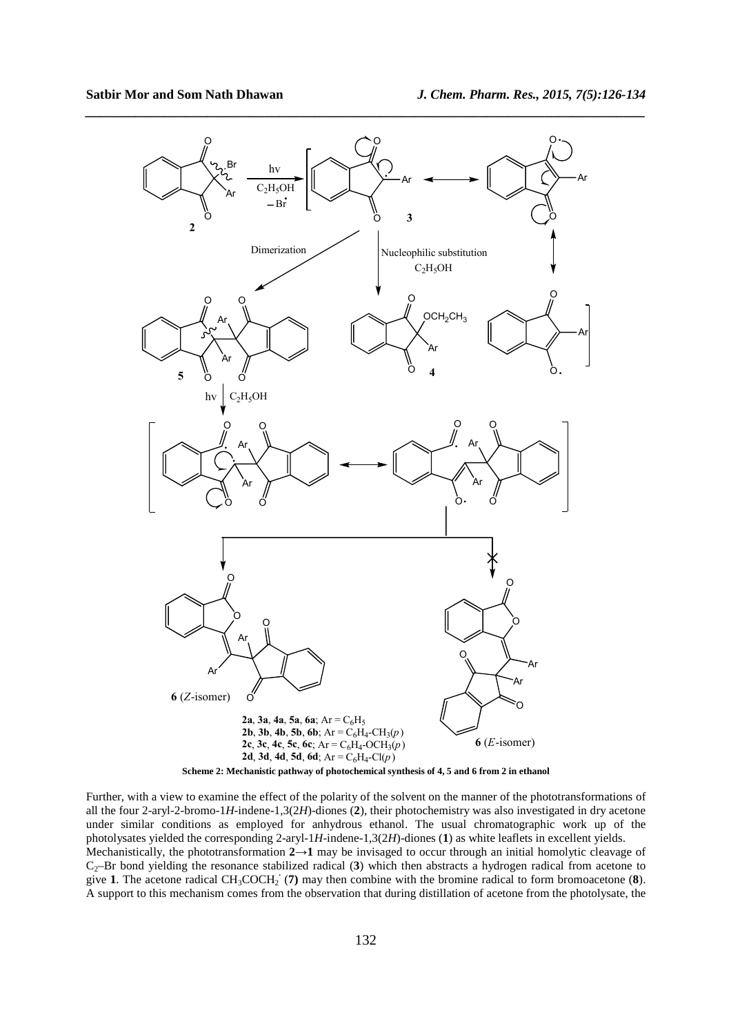

*\_\_\_\_\_\_\_\_\_\_\_\_\_\_\_\_\_\_\_\_\_\_\_\_\_\_\_\_\_\_\_\_\_\_\_\_\_\_\_\_\_\_\_\_\_\_\_\_\_\_\_\_\_\_\_\_\_\_\_\_\_\_\_\_\_\_\_\_\_\_\_\_\_\_\_\_\_\_*



Further, with a view to examine the effect of the polarity of the solvent on the manner of the phototransformations of all the four 2-aryl-2-bromo-1*H*-indene-1,3(2*H*)-diones (**2**), their photochemistry was also investigated in dry acetone under similar conditions as employed for anhydrous ethanol. The usual chromatographic work up of the photolysates yielded the corresponding 2-aryl-1*H*-indene-1,3(2*H*)-diones (**1**) as white leaflets in excellent yields. Mechanistically, the phototransformation **2→1** may be invisaged to occur through an initial homolytic cleavage of C2–Br bond yielding the resonance stabilized radical (**3**) which then abstracts a hydrogen radical from acetone to give 1. The acetone radical  $CH_3COCH_2$  (7) may then combine with the bromine radical to form bromoacetone (8). A support to this mechanism comes from the observation that during distillation of acetone from the photolysate, the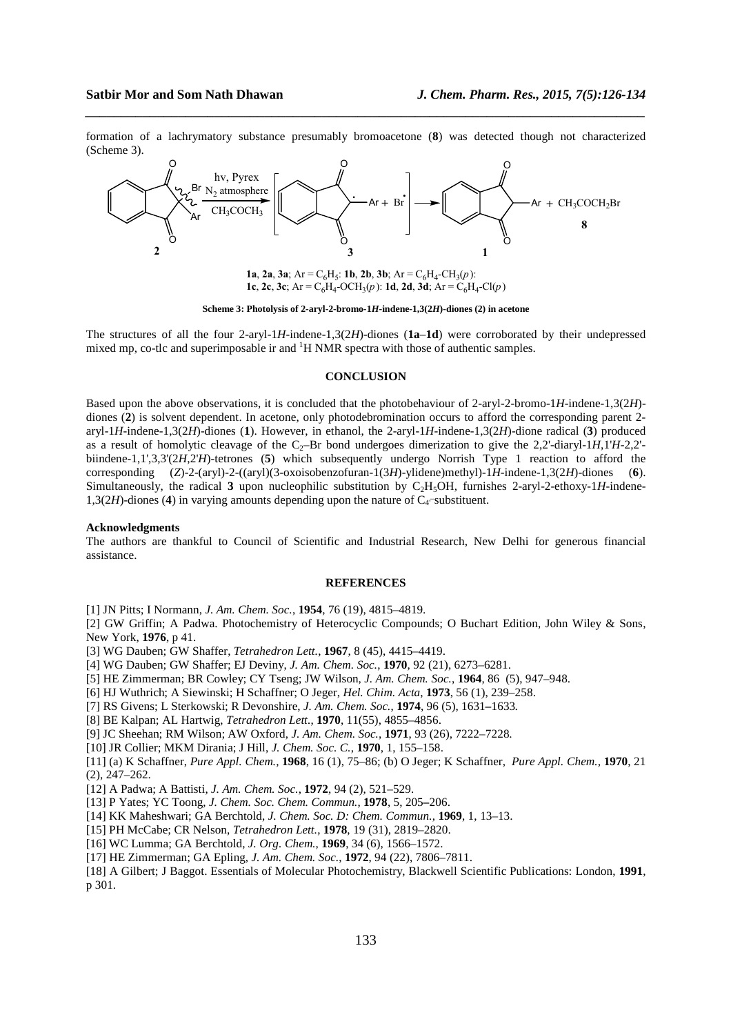formation of a lachrymatory substance presumably bromoacetone (**8**) was detected though not characterized (Scheme 3).

*\_\_\_\_\_\_\_\_\_\_\_\_\_\_\_\_\_\_\_\_\_\_\_\_\_\_\_\_\_\_\_\_\_\_\_\_\_\_\_\_\_\_\_\_\_\_\_\_\_\_\_\_\_\_\_\_\_\_\_\_\_\_\_\_\_\_\_\_\_\_\_\_\_\_\_\_\_\_*



**1a**, **2a**, **3a**; Ar = C<sub>6</sub>H<sub>5</sub>: **1b**, **2b**, **3b**; Ar = C<sub>6</sub>H<sub>4</sub>-CH<sub>3</sub> $(p)$ : **1c**, **2c**, **3c**; Ar =  $C_6H_4$ -OCH<sub>3</sub> $(p)$ : **1d**, **2d**, **3d**; Ar =  $C_6H_4$ -Cl $(p)$ 

**Scheme 3: Photolysis of 2-aryl-2-bromo-1***H***-indene-1,3(2***H***)-diones (2) in acetone** 

The structures of all the four 2-aryl-1*H*-indene-1,3(2*H*)-diones (**1a**–**1d**) were corroborated by their undepressed mixed mp, co-tlc and superimposable ir and  ${}^{1}H$  NMR spectra with those of authentic samples.

## **CONCLUSION**

Based upon the above observations, it is concluded that the photobehaviour of 2-aryl-2-bromo-1*H*-indene-1,3(2*H*) diones (**2**) is solvent dependent. In acetone, only photodebromination occurs to afford the corresponding parent 2 aryl-1*H*-indene-1,3(2*H*)-diones (**1**). However, in ethanol, the 2-aryl-1*H*-indene-1,3(2*H*)-dione radical (**3**) produced as a result of homolytic cleavage of the  $C_2$ –Br bond undergoes dimerization to give the 2,2'-diaryl-1*H*,1'*H*-2,2'biindene-1,1',3,3'(2*H*,2'*H*)-tetrones (**5**) which subsequently undergo Norrish Type 1 reaction to afford the corresponding (*Z*)-2-(aryl)-2-((aryl)(3-oxoisobenzofuran-1(3*H*)-ylidene)methyl)-1*H*-indene-1,3(2*H*)-diones (**6**). Simultaneously, the radical **3** upon nucleophilic substitution by C<sub>2</sub>H<sub>5</sub>OH, furnishes 2-aryl-2-ethoxy-1*H*-indene-1,3(2H)-diones (4) in varying amounts depending upon the nature of  $C_4$ -substituent.

#### **Acknowledgments**

The authors are thankful to Council of Scientific and Industrial Research, New Delhi for generous financial assistance.

#### **REFERENCES**

[1] JN Pitts; I Normann, *J. Am. Chem. Soc.*, **1954**, 76 (19), 4815–4819.

[2] GW Griffin; A Padwa. Photochemistry of Heterocyclic Compounds; O Buchart Edition, John Wiley & Sons, New York, **1976**, p 41.

- [3] WG Dauben; GW Shaffer, *Tetrahedron Lett.*, **1967**, 8 (45), 4415–4419.
- [4] WG Dauben; GW Shaffer; EJ Deviny, *J. Am. Chem. Soc.*, **1970**, 92 (21), 6273–6281.
- [5] HE Zimmerman; BR Cowley; CY Tseng; JW Wilson, *J. Am. Chem. Soc.*, **1964**, 86 (5), 947–948.
- [6] HJ Wuthrich; A Siewinski; H Schaffner; O Jeger, *Hel. Chim. Acta*, **1973**, 56 (1), 239–258.
- [7] RS Givens; L Sterkowski; R Devonshire, *J. Am. Chem. Soc.*, **1974**, 96 (5), 1631*–*1633*.*
- [8] BE Kalpan; AL Hartwig, *Tetrahedron Lett.*, **1970**, 11(55), 4855–4856.
- [9] JC Sheehan; RM Wilson; AW Oxford, *J. Am. Chem. Soc.*, **1971**, 93 (26), 7222–7228.
- [10] JR Collier; MKM Dirania; J Hill, *J. Chem. Soc. C.*, **1970**, 1, 155–158.
- [11] (a) K Schaffner, *Pure Appl. Chem.,* **1968**, 16 (1), 75–86; (b) O Jeger; K Schaffner, *Pure Appl. Chem.,* **1970**, 21 (2), 247–262.
- [12] A Padwa; A Battisti, *J. Am. Chem. Soc.*, **1972**, 94 (2), 521–529.
- [13] P Yates; YC Toong, *J. Chem. Soc. Chem. Commun.*, **1978**, 5, 205*–*206.
- [14] KK Maheshwari; GA Berchtold, *J. Chem. Soc. D: Chem. Commun.*, **1969**, 1, 13*–*13.
- [15] PH McCabe; CR Nelson, *Tetrahedron Lett.*, **1978**, 19 (31), 2819–2820.
- [16] WC Lumma; GA Berchtold, *J. Org. Chem.*, **1969**, 34 (6), 1566–1572.
- [17] HE Zimmerman; GA Epling, *J. Am. Chem. Soc.*, **1972**, 94 (22), 7806–7811.
- [18] A Gilbert; J Baggot. Essentials of Molecular Photochemistry, Blackwell Scientific Publications: London, **1991**, p 301.